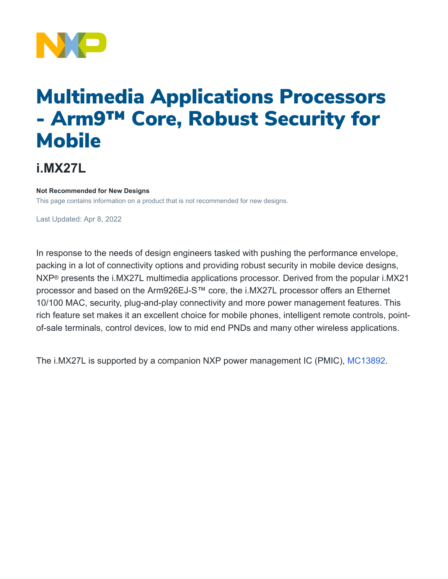

# Multimedia Applications Processors - Arm9™ Core, Robust Security for **Mobile**

## **i.MX27L**

#### **Not Recommended for New Designs**

This page contains information on a product that is not recommended for new designs.

Last Updated: Apr 8, 2022

In response to the needs of design engineers tasked with pushing the performance envelope, packing in a lot of connectivity options and providing robust security in mobile device designs, NXP® presents the i.MX27L multimedia applications processor. Derived from the popular i.MX21 processor and based on the Arm926EJ-S™ core, the i.MX27L processor offers an Ethernet 10/100 MAC, security, plug-and-play connectivity and more power management features. This rich feature set makes it an excellent choice for mobile phones, intelligent remote controls, pointof-sale terminals, control devices, low to mid end PNDs and many other wireless applications.

The i.MX27L is supported by a companion NXP power management IC (PMIC), [MC13892.](https://www.nxp.com/products/power-management/pmics-and-sbcs/pmics/power-management-pmic-for-i-mx35-51:MC13892)